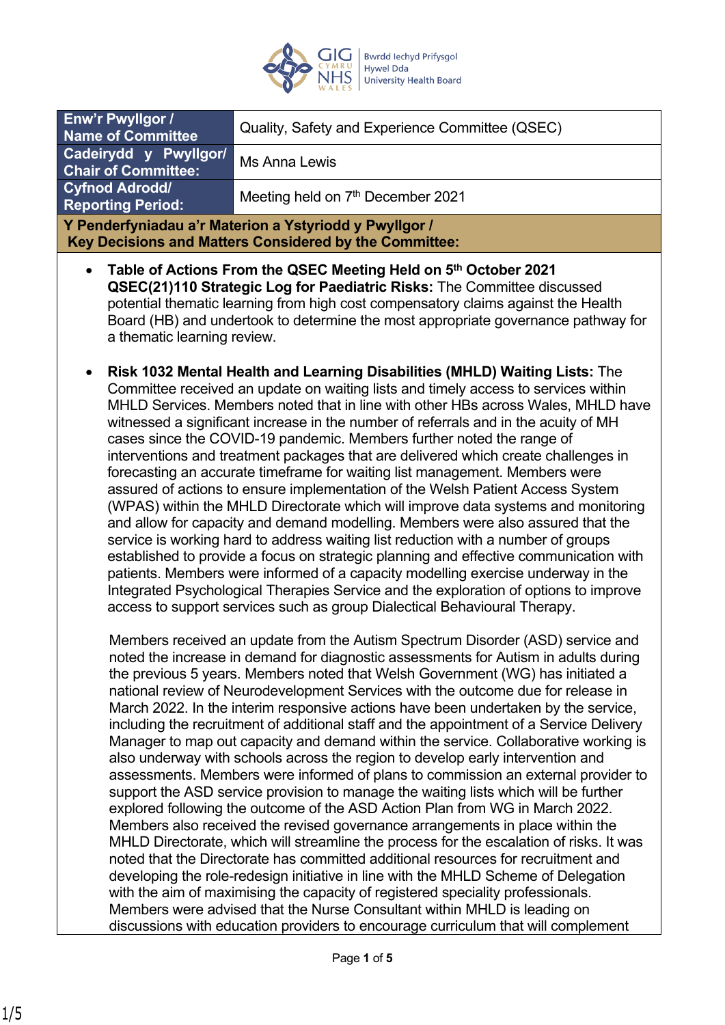

| Enw'r Pwyllgor /<br><b>Name of Committee</b>                                                                                                                                                                                                                                                                                                                                                                                                                                                                                                                                                                                                                                                                                                                                                                                                                                                                                                                                                                                                                                                                                                                                                                                                                                                                                                                                                                                                                                            | Quality, Safety and Experience Committee (QSEC) |
|-----------------------------------------------------------------------------------------------------------------------------------------------------------------------------------------------------------------------------------------------------------------------------------------------------------------------------------------------------------------------------------------------------------------------------------------------------------------------------------------------------------------------------------------------------------------------------------------------------------------------------------------------------------------------------------------------------------------------------------------------------------------------------------------------------------------------------------------------------------------------------------------------------------------------------------------------------------------------------------------------------------------------------------------------------------------------------------------------------------------------------------------------------------------------------------------------------------------------------------------------------------------------------------------------------------------------------------------------------------------------------------------------------------------------------------------------------------------------------------------|-------------------------------------------------|
| Cadeirydd y Pwyllgor/<br><b>Chair of Committee:</b>                                                                                                                                                                                                                                                                                                                                                                                                                                                                                                                                                                                                                                                                                                                                                                                                                                                                                                                                                                                                                                                                                                                                                                                                                                                                                                                                                                                                                                     | <b>Ms Anna Lewis</b>                            |
| <b>Cyfnod Adrodd/</b><br><b>Reporting Period:</b>                                                                                                                                                                                                                                                                                                                                                                                                                                                                                                                                                                                                                                                                                                                                                                                                                                                                                                                                                                                                                                                                                                                                                                                                                                                                                                                                                                                                                                       | Meeting held on 7th December 2021               |
| Y Penderfyniadau a'r Materion a Ystyriodd y Pwyllgor /<br>Key Decisions and Matters Considered by the Committee:                                                                                                                                                                                                                                                                                                                                                                                                                                                                                                                                                                                                                                                                                                                                                                                                                                                                                                                                                                                                                                                                                                                                                                                                                                                                                                                                                                        |                                                 |
| Table of Actions From the QSEC Meeting Held on 5th October 2021<br>$\bullet$<br>QSEC(21)110 Strategic Log for Paediatric Risks: The Committee discussed<br>potential thematic learning from high cost compensatory claims against the Health<br>Board (HB) and undertook to determine the most appropriate governance pathway for<br>a thematic learning review.                                                                                                                                                                                                                                                                                                                                                                                                                                                                                                                                                                                                                                                                                                                                                                                                                                                                                                                                                                                                                                                                                                                        |                                                 |
| Risk 1032 Mental Health and Learning Disabilities (MHLD) Waiting Lists: The<br>$\bullet$<br>Committee received an update on waiting lists and timely access to services within<br>MHLD Services. Members noted that in line with other HBs across Wales, MHLD have<br>witnessed a significant increase in the number of referrals and in the acuity of MH<br>cases since the COVID-19 pandemic. Members further noted the range of<br>interventions and treatment packages that are delivered which create challenges in<br>forecasting an accurate timeframe for waiting list management. Members were<br>assured of actions to ensure implementation of the Welsh Patient Access System<br>(WPAS) within the MHLD Directorate which will improve data systems and monitoring<br>and allow for capacity and demand modelling. Members were also assured that the<br>service is working hard to address waiting list reduction with a number of groups<br>established to provide a focus on strategic planning and effective communication with<br>patients. Members were informed of a capacity modelling exercise underway in the<br>Integrated Psychological Therapies Service and the exploration of options to improve<br>access to support services such as group Dialectical Behavioural Therapy.                                                                                                                                                                                |                                                 |
| Members received an update from the Autism Spectrum Disorder (ASD) service and<br>noted the increase in demand for diagnostic assessments for Autism in adults during<br>the previous 5 years. Members noted that Welsh Government (WG) has initiated a<br>national review of Neurodevelopment Services with the outcome due for release in<br>March 2022. In the interim responsive actions have been undertaken by the service,<br>including the recruitment of additional staff and the appointment of a Service Delivery<br>Manager to map out capacity and demand within the service. Collaborative working is<br>also underway with schools across the region to develop early intervention and<br>assessments. Members were informed of plans to commission an external provider to<br>support the ASD service provision to manage the waiting lists which will be further<br>explored following the outcome of the ASD Action Plan from WG in March 2022.<br>Members also received the revised governance arrangements in place within the<br>MHLD Directorate, which will streamline the process for the escalation of risks. It was<br>noted that the Directorate has committed additional resources for recruitment and<br>developing the role-redesign initiative in line with the MHLD Scheme of Delegation<br>with the aim of maximising the capacity of registered speciality professionals.<br>Members were advised that the Nurse Consultant within MHLD is leading on |                                                 |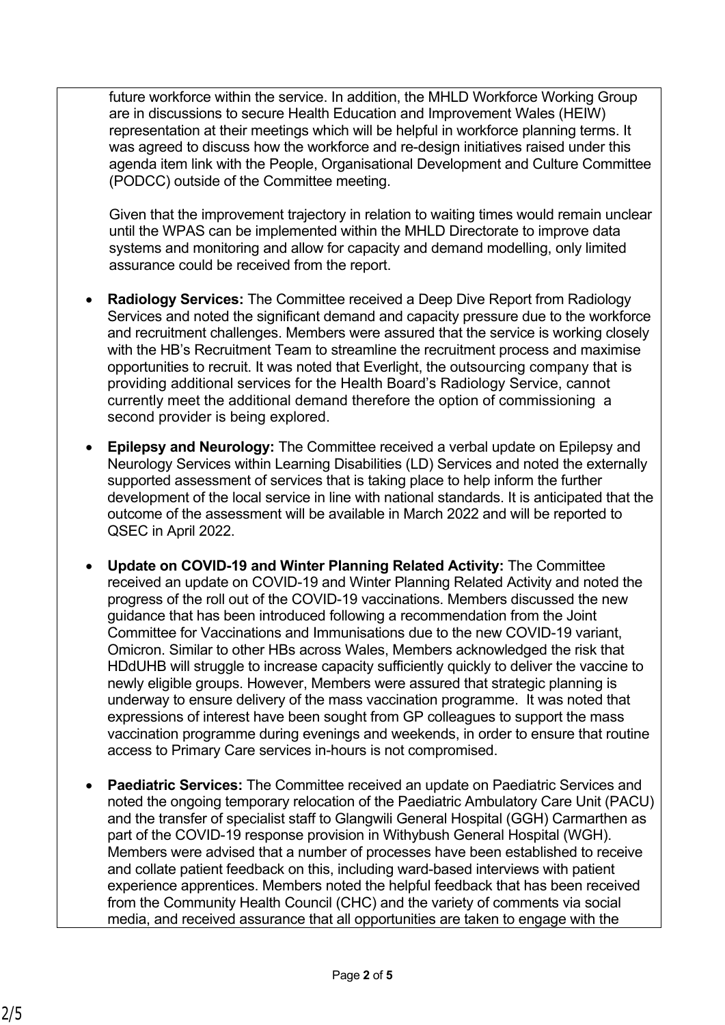future workforce within the service. In addition, the MHLD Workforce Working Group are in discussions to secure Health Education and Improvement Wales (HEIW) representation at their meetings which will be helpful in workforce planning terms. It was agreed to discuss how the workforce and re-design initiatives raised under this agenda item link with the People, Organisational Development and Culture Committee (PODCC) outside of the Committee meeting.

Given that the improvement trajectory in relation to waiting times would remain unclear until the WPAS can be implemented within the MHLD Directorate to improve data systems and monitoring and allow for capacity and demand modelling, only limited assurance could be received from the report.

- **Radiology Services:** The Committee received a Deep Dive Report from Radiology Services and noted the significant demand and capacity pressure due to the workforce and recruitment challenges. Members were assured that the service is working closely with the HB's Recruitment Team to streamline the recruitment process and maximise opportunities to recruit. It was noted that Everlight, the outsourcing company that is providing additional services for the Health Board's Radiology Service, cannot currently meet the additional demand therefore the option of commissioning a second provider is being explored.
- **Epilepsy and Neurology:** The Committee received a verbal update on Epilepsy and Neurology Services within Learning Disabilities (LD) Services and noted the externally supported assessment of services that is taking place to help inform the further development of the local service in line with national standards. It is anticipated that the outcome of the assessment will be available in March 2022 and will be reported to QSEC in April 2022.
- **Update on COVID-19 and Winter Planning Related Activity:** The Committee received an update on COVID-19 and Winter Planning Related Activity and noted the progress of the roll out of the COVID-19 vaccinations. Members discussed the new guidance that has been introduced following a recommendation from the Joint Committee for Vaccinations and Immunisations due to the new COVID-19 variant, Omicron. Similar to other HBs across Wales, Members acknowledged the risk that HDdUHB will struggle to increase capacity sufficiently quickly to deliver the vaccine to newly eligible groups. However, Members were assured that strategic planning is underway to ensure delivery of the mass vaccination programme. It was noted that expressions of interest have been sought from GP colleagues to support the mass vaccination programme during evenings and weekends, in order to ensure that routine access to Primary Care services in-hours is not compromised.
- **Paediatric Services:** The Committee received an update on Paediatric Services and noted the ongoing temporary relocation of the Paediatric Ambulatory Care Unit (PACU) and the transfer of specialist staff to Glangwili General Hospital (GGH) Carmarthen as part of the COVID-19 response provision in Withybush General Hospital (WGH). Members were advised that a number of processes have been established to receive and collate patient feedback on this, including ward-based interviews with patient experience apprentices. Members noted the helpful feedback that has been received from the Community Health Council (CHC) and the variety of comments via social media, and received assurance that all opportunities are taken to engage with the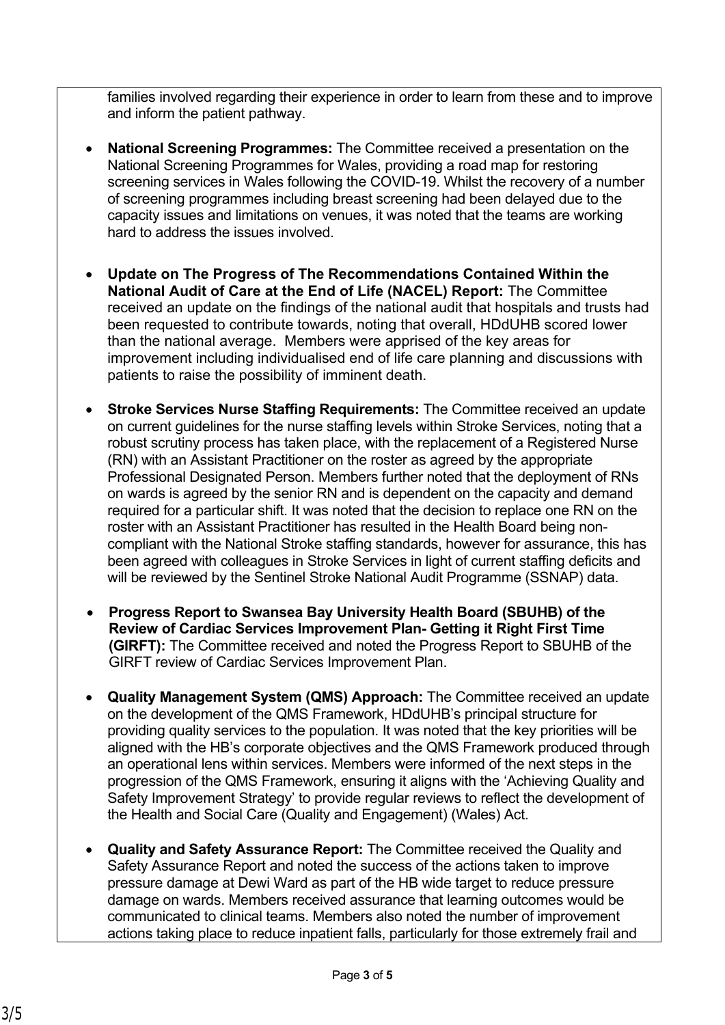families involved regarding their experience in order to learn from these and to improve and inform the patient pathway.

- **National Screening Programmes:** The Committee received a presentation on the National Screening Programmes for Wales, providing a road map for restoring screening services in Wales following the COVID-19. Whilst the recovery of a number of screening programmes including breast screening had been delayed due to the capacity issues and limitations on venues, it was noted that the teams are working hard to address the issues involved.
- **Update on The Progress of The Recommendations Contained Within the National Audit of Care at the End of Life (NACEL) Report:** The Committee received an update on the findings of the national audit that hospitals and trusts had been requested to contribute towards, noting that overall, HDdUHB scored lower than the national average. Members were apprised of the key areas for improvement including individualised end of life care planning and discussions with patients to raise the possibility of imminent death.
- **Stroke Services Nurse Staffing Requirements:** The Committee received an update on current guidelines for the nurse staffing levels within Stroke Services, noting that a robust scrutiny process has taken place, with the replacement of a Registered Nurse (RN) with an Assistant Practitioner on the roster as agreed by the appropriate Professional Designated Person. Members further noted that the deployment of RNs on wards is agreed by the senior RN and is dependent on the capacity and demand required for a particular shift. It was noted that the decision to replace one RN on the roster with an Assistant Practitioner has resulted in the Health Board being noncompliant with the National Stroke staffing standards, however for assurance, this has been agreed with colleagues in Stroke Services in light of current staffing deficits and will be reviewed by the Sentinel Stroke National Audit Programme (SSNAP) data.
- **Progress Report to Swansea Bay University Health Board (SBUHB) of the Review of Cardiac Services Improvement Plan- Getting it Right First Time (GIRFT):** The Committee received and noted the Progress Report to SBUHB of the GIRFT review of Cardiac Services Improvement Plan.
- **Quality Management System (QMS) Approach:** The Committee received an update on the development of the QMS Framework, HDdUHB's principal structure for providing quality services to the population. It was noted that the key priorities will be aligned with the HB's corporate objectives and the QMS Framework produced through an operational lens within services. Members were informed of the next steps in the progression of the QMS Framework, ensuring it aligns with the 'Achieving Quality and Safety Improvement Strategy' to provide regular reviews to reflect the development of the Health and Social Care (Quality and Engagement) (Wales) Act.
- **Quality and Safety Assurance Report:** The Committee received the Quality and Safety Assurance Report and noted the success of the actions taken to improve pressure damage at Dewi Ward as part of the HB wide target to reduce pressure damage on wards. Members received assurance that learning outcomes would be communicated to clinical teams. Members also noted the number of improvement actions taking place to reduce inpatient falls, particularly for those extremely frail and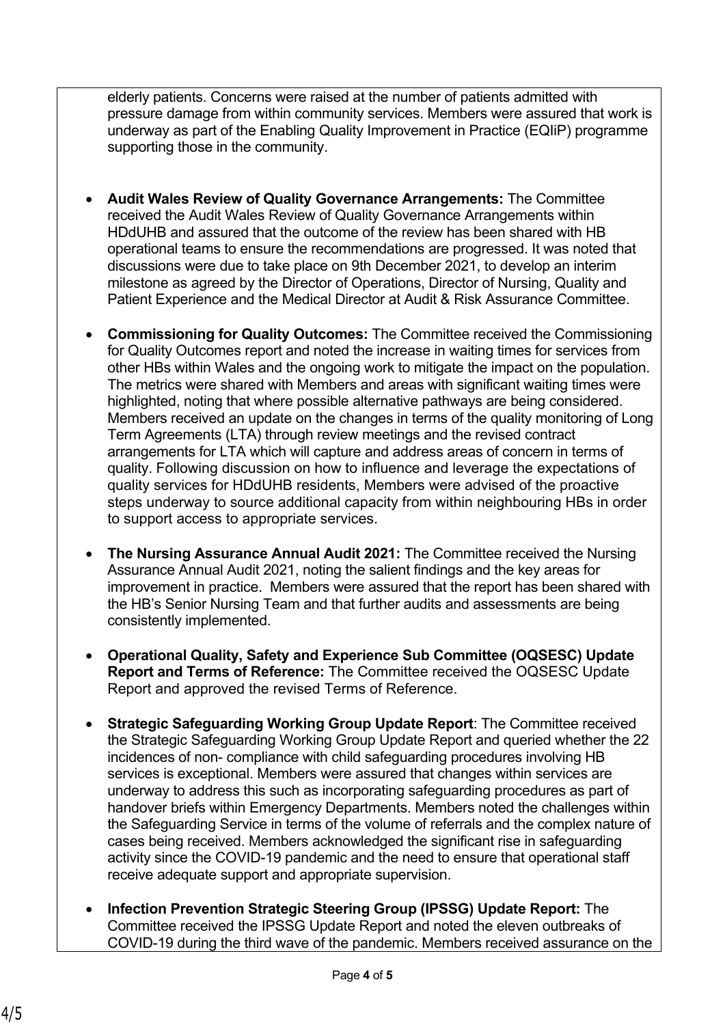elderly patients. Concerns were raised at the number of patients admitted with pressure damage from within community services. Members were assured that work is underway as part of the Enabling Quality Improvement in Practice (EQIiP) programme supporting those in the community.

- **Audit Wales Review of Quality Governance Arrangements:** The Committee received the Audit Wales Review of Quality Governance Arrangements within HDdUHB and assured that the outcome of the review has been shared with HB operational teams to ensure the recommendations are progressed. It was noted that discussions were due to take place on 9th December 2021, to develop an interim milestone as agreed by the Director of Operations, Director of Nursing, Quality and Patient Experience and the Medical Director at Audit & Risk Assurance Committee.
- **Commissioning for Quality Outcomes:** The Committee received the Commissioning for Quality Outcomes report and noted the increase in waiting times for services from other HBs within Wales and the ongoing work to mitigate the impact on the population. The metrics were shared with Members and areas with significant waiting times were highlighted, noting that where possible alternative pathways are being considered. Members received an update on the changes in terms of the quality monitoring of Long Term Agreements (LTA) through review meetings and the revised contract arrangements for LTA which will capture and address areas of concern in terms of quality. Following discussion on how to influence and leverage the expectations of quality services for HDdUHB residents, Members were advised of the proactive steps underway to source additional capacity from within neighbouring HBs in order to support access to appropriate services.
- **The Nursing Assurance Annual Audit 2021:** The Committee received the Nursing Assurance Annual Audit 2021, noting the salient findings and the key areas for improvement in practice. Members were assured that the report has been shared with the HB's Senior Nursing Team and that further audits and assessments are being consistently implemented.
- **Operational Quality, Safety and Experience Sub Committee (OQSESC) Update Report and Terms of Reference:** The Committee received the OQSESC Update Report and approved the revised Terms of Reference.
- **Strategic Safeguarding Working Group Update Report**: The Committee received the Strategic Safeguarding Working Group Update Report and queried whether the 22 incidences of non- compliance with child safeguarding procedures involving HB services is exceptional. Members were assured that changes within services are underway to address this such as incorporating safeguarding procedures as part of handover briefs within Emergency Departments. Members noted the challenges within the Safeguarding Service in terms of the volume of referrals and the complex nature of cases being received. Members acknowledged the significant rise in safeguarding activity since the COVID-19 pandemic and the need to ensure that operational staff receive adequate support and appropriate supervision.
- **Infection Prevention Strategic Steering Group (IPSSG) Update Report:** The Committee received the IPSSG Update Report and noted the eleven outbreaks of COVID-19 during the third wave of the pandemic. Members received assurance on the